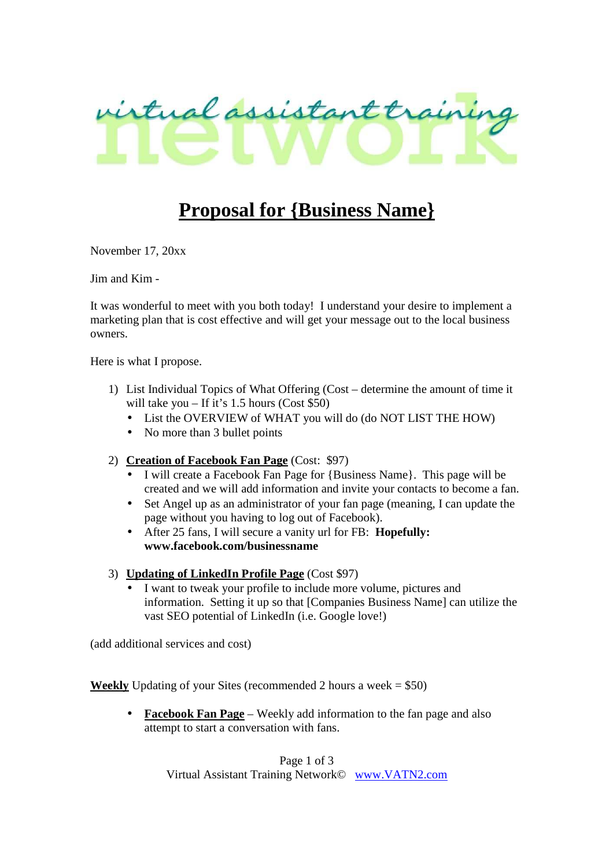

# **Proposal for {Business Name}**

November 17, 20xx

Jim and Kim -

It was wonderful to meet with you both today! I understand your desire to implement a marketing plan that is cost effective and will get your message out to the local business owners.

Here is what I propose.

- 1) List Individual Topics of What Offering (Cost determine the amount of time it will take you – If it's 1.5 hours (Cost  $$50$ )
	- List the OVERVIEW of WHAT you will do (do NOT LIST THE HOW)
	- No more than 3 bullet points
- 2) **Creation of Facebook Fan Page** (Cost: \$97)
	- I will create a Facebook Fan Page for {Business Name}. This page will be created and we will add information and invite your contacts to become a fan.
	- Set Angel up as an administrator of your fan page (meaning, I can update the page without you having to log out of Facebook).
	- After 25 fans, I will secure a vanity url for FB: **Hopefully: www.facebook.com/businessname**
- 3) **Updating of LinkedIn Profile Page** (Cost \$97)
	- I want to tweak your profile to include more volume, pictures and information. Setting it up so that [Companies Business Name] can utilize the vast SEO potential of LinkedIn (i.e. Google love!)

(add additional services and cost)

**Weekly** Updating of your Sites (recommended 2 hours a week  $= $50$ )

• **Facebook Fan Page** – Weekly add information to the fan page and also attempt to start a conversation with fans.

> Page 1 of 3 Virtual Assistant Training Network© www.VATN2.com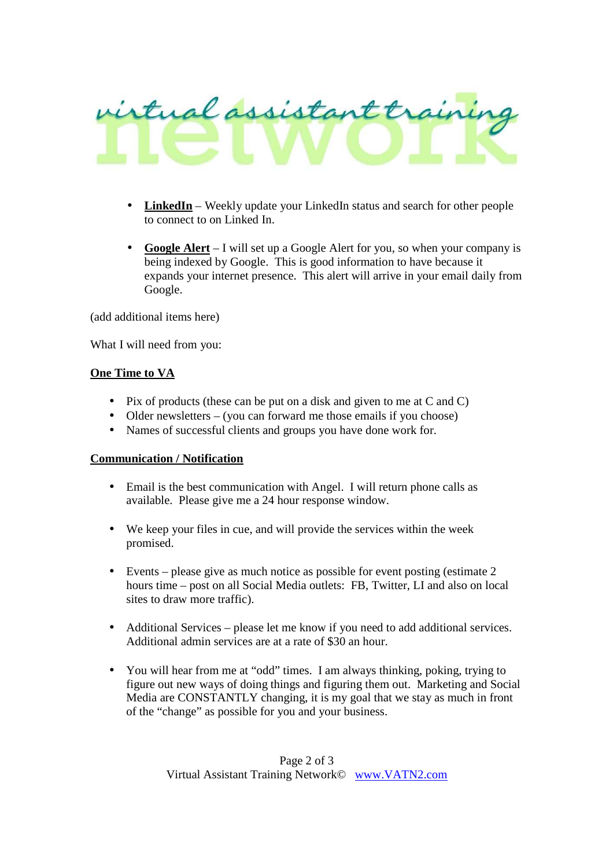

- **LinkedIn** Weekly update your LinkedIn status and search for other people to connect to on Linked In.
- **Google Alert** I will set up a Google Alert for you, so when your company is being indexed by Google. This is good information to have because it expands your internet presence. This alert will arrive in your email daily from Google.

(add additional items here)

What I will need from you:

# **One Time to VA**

- Pix of products (these can be put on a disk and given to me at C and C)
- Older newsletters (you can forward me those emails if you choose)
- Names of successful clients and groups you have done work for.

# **Communication / Notification**

- Email is the best communication with Angel. I will return phone calls as available. Please give me a 24 hour response window.
- We keep your files in cue, and will provide the services within the week promised.
- Events please give as much notice as possible for event posting (estimate  $2$ hours time – post on all Social Media outlets: FB, Twitter, LI and also on local sites to draw more traffic).
- Additional Services please let me know if you need to add additional services. Additional admin services are at a rate of \$30 an hour.
- You will hear from me at "odd" times. I am always thinking, poking, trying to figure out new ways of doing things and figuring them out. Marketing and Social Media are CONSTANTLY changing, it is my goal that we stay as much in front of the "change" as possible for you and your business.